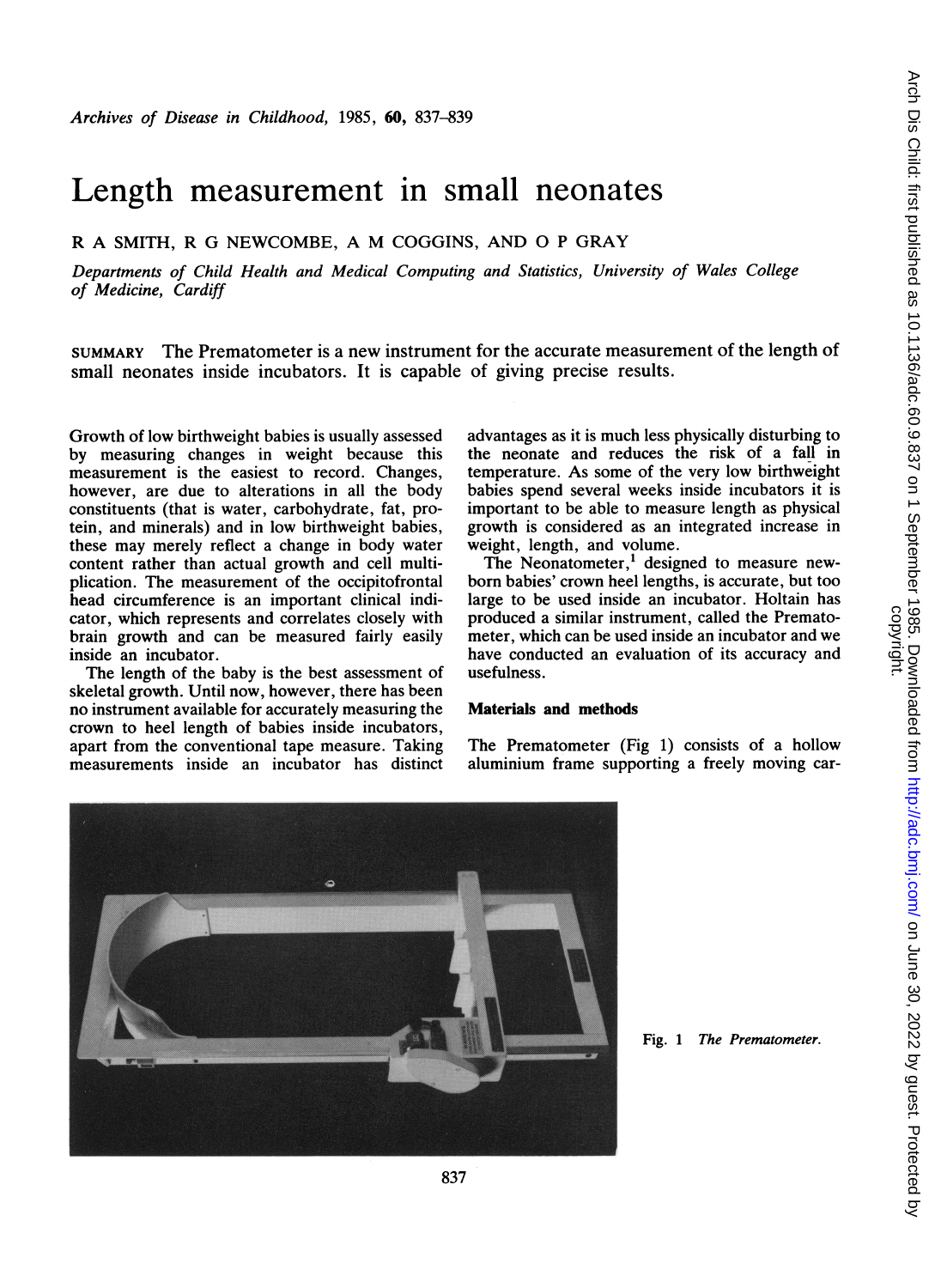# Length measurement in small neonates

R A SMITH, R G NEWCOMBE, A M COGGINS, AND 0 <sup>P</sup> GRAY

Departments of Child Health and Medical Computing and Statistics, University of Wales College of Medicine, Cardiff

SUMMARY The Prematometer is <sup>a</sup> new instrument for the accurate measurement of the length of small neonates inside incubators. It is capable of giving precise results.

Growth of low birthweight babies is usually assessed by measuring changes in weight because this measurement is the easiest to record. Changes, however, are due to alterations in all the body constituents (that is water, carbohydrate, fat, protein, and minerals) and in low birthweight babies, these may merely reflect a change in body water content rather than actual growth and cell multiplication. The measurement of the occipitofrontal head circumference is an important clinical indicator, which represents and correlates closely with brain growth and can be measured fairly easily inside an incubator.

The length of the baby is the best assessment of skeletal growth. Until now, however, there has been no instrument available for accurately measuring the crown to heel length of babies inside incubators, apart from the conventional tape measure. Taking measurements inside an incubator has distinct advantages as it is much less physically disturbing to the neonate and reduces the risk of a fall in temperature. As some of the very low birthweight babies spend several weeks inside incubators it is important to be able to measure length as physical growth is considered as an integrated increase in weight, length, and volume.

The Neonatometer, $<sup>1</sup>$  designed to measure new-</sup> born babies' crown heel lengths, is accurate, but too large to be used inside an incubator. Holtain has produced a similar instrument, called the Prematometer, which can be used inside an incubator and we have conducted an evaluation of its accuracy and usefulness.

## Materials and methods

The Prematometer (Fig 1) consists of a hollow aluminium frame supporting a freely moving car-



Fig.  $1$ The Prematometer.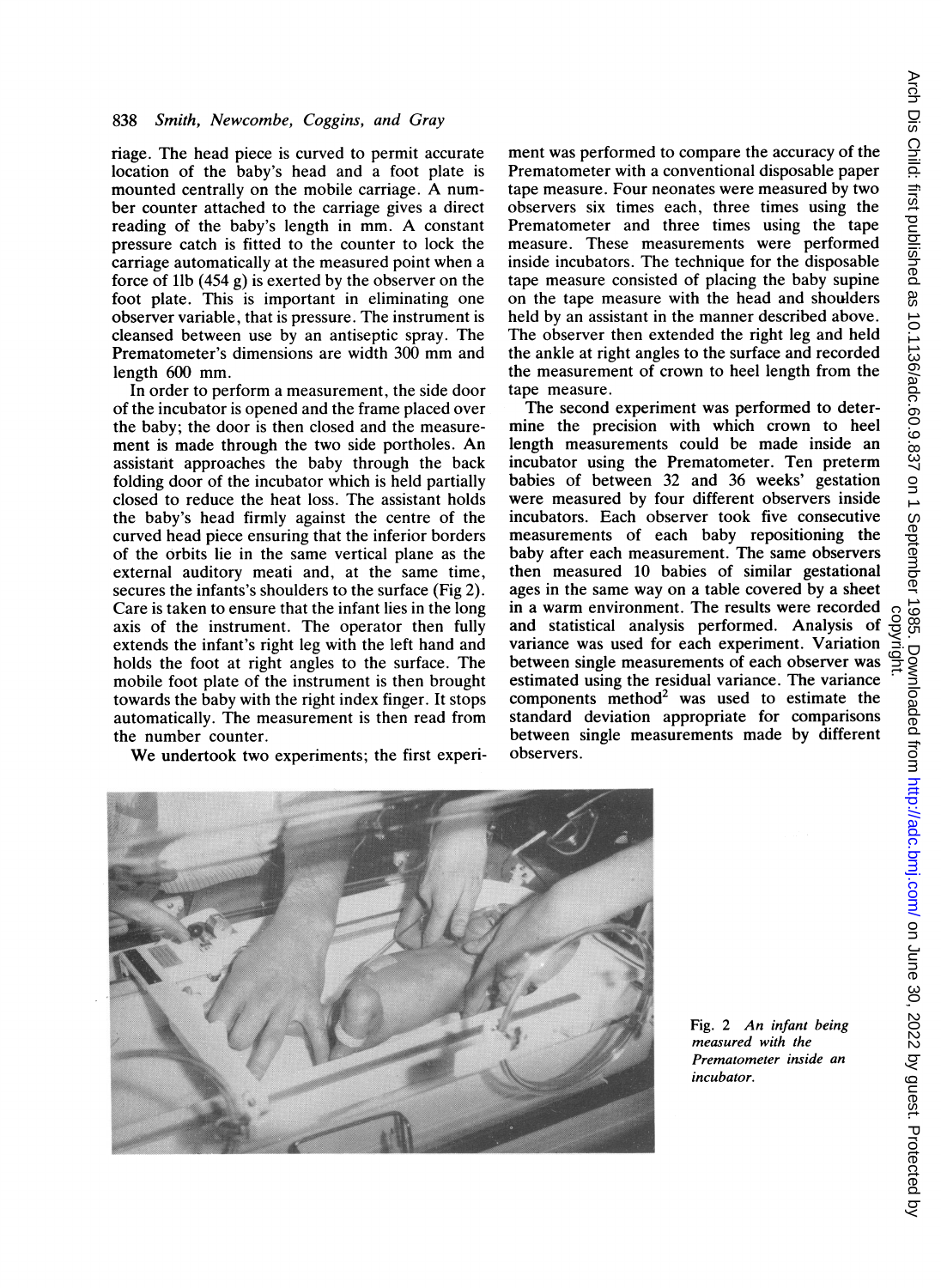### 838 Smith, Newcombe, Coggins, and Gray

riage. The head piece is curved to permit accurate location of the baby's head and a foot plate is mounted centrally on the mobile carriage. A number counter attached to the carriage gives a direct reading of the baby's length in mm. A constant pressure catch is fitted to the counter to lock the carriage automatically at the measured point when a force of llb (454 g) is exerted by the observer on the foot plate. This is important in eliminating one observer variable, that is pressure. The instrument is cleansed between use by an antiseptic spray. The Prematometer's dimensions are width <sup>300</sup> mm and length 600 mm.

In order to perform a measurement, the side door of the incubator is opened and the frame placed over the baby; the door is then closed and the measurement is made through the two side portholes. An assistant approaches the baby through the back folding door of the incubator which is held partially closed to reduce the heat loss. The assistant holds the baby's head firmly against the centre of the curved head piece ensuring that the inferior borders of the orbits lie in the same vertical plane as the external auditory meati and, at the same time, secures the infants's shoulders to the surface (Fig 2). Care is taken to ensure that the infant lies in the long axis of the instrument. The operator then fully extends the infant's right leg with the left hand and holds the foot at right angles to the surface. The mobile foot plate of the instrument is then brought towards the baby with the right index finger. It stops automatically. The measurement is then read from the number counter.

We undertook two experiments; the first experi-

ment was performed to compare the accuracy of the Prematometer with a conventional disposable paper tape measure. Four neonates were measured by two observers six times each, three times using the Prematometer and three times using the tape measure. These measurements were performed inside incubators. The technique for the disposable tape measure consisted of placing the baby supine on the tape measure with the head and shoulders held by an assistant in the manner described above. The observer then extended the right leg and held the ankle at right angles to the surface and recorded the measurement of crown to heel length from the tape measure.

The second experiment was performed to determine the precision with which crown to heel length measurements could be made inside an incubator using the Prematometer. Ten preterm babies of between 32 and 36 weeks' gestation were measured by four different observers inside incubators. Each observer took five consecutive measurements of each baby repositioning the baby after each measurement. The same observers then measured 10 babies of similar gestational ages in the same way on a table covered by a sheet in a warm environment. The results were recorded and statistical analysis performed. Analysis of variance was used for each experiment. Variation between single measurements of each observer was estimated using the residual variance. The variance components method<sup>2</sup> was used to estimate the standard deviation appropriate for comparisons between single measurements made by different observers.



Fig. <sup>2</sup> An infant being measured with the Prematometer inside an incubator.